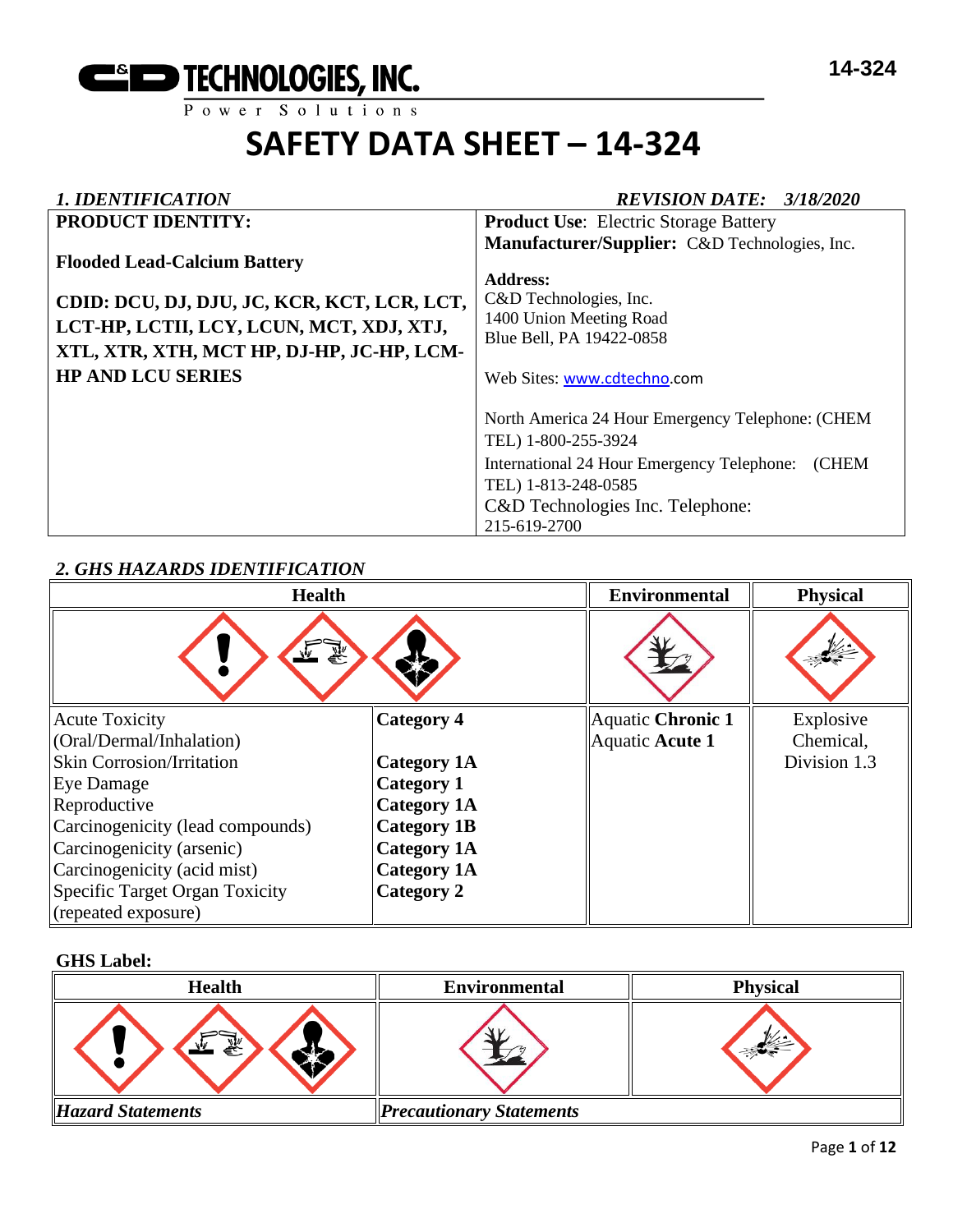

## *1. IDENTIFICATION REVISION DATE: 3/18/2020*

| <b>PRODUCT IDENTITY:</b>                                                                                                                                                                                | <b>Product Use:</b> Electric Storage Battery                                                                                                                                                                    |
|---------------------------------------------------------------------------------------------------------------------------------------------------------------------------------------------------------|-----------------------------------------------------------------------------------------------------------------------------------------------------------------------------------------------------------------|
| <b>Flooded Lead-Calcium Battery</b><br>CDID: DCU, DJ, DJU, JC, KCR, KCT, LCR, LCT,<br>LCT-HP, LCTII, LCY, LCUN, MCT, XDJ, XTJ,<br>XTL, XTR, XTH, MCT HP, DJ-HP, JC-HP, LCM-<br><b>HP AND LCU SERIES</b> | Manufacturer/Supplier: C&D Technologies, Inc.<br><b>Address:</b><br>C&D Technologies, Inc.<br>1400 Union Meeting Road<br>Blue Bell, PA 19422-0858<br>Web Sites: www.cdtechno.com                                |
|                                                                                                                                                                                                         | North America 24 Hour Emergency Telephone: (CHEM<br>TEL) 1-800-255-3924<br>International 24 Hour Emergency Telephone:<br><b>CHEM</b><br>TEL) 1-813-248-0585<br>C&D Technologies Inc. Telephone:<br>215-619-2700 |

# *2. GHS HAZARDS IDENTIFICATION*

| <b>Health</b>                    |                    | <b>Environmental</b> | <b>Physical</b> |
|----------------------------------|--------------------|----------------------|-----------------|
|                                  |                    |                      |                 |
| <b>Acute Toxicity</b>            | Category 4         | Aquatic Chronic 1    | Explosive       |
| (Oral/Dermal/Inhalation)         |                    | Aquatic Acute 1      | Chemical,       |
| <b>Skin Corrosion/Irritation</b> | <b>Category 1A</b> |                      | Division 1.3    |
| Eye Damage                       | <b>Category 1</b>  |                      |                 |
| Reproductive                     | <b>Category 1A</b> |                      |                 |
| Carcinogenicity (lead compounds) | <b>Category 1B</b> |                      |                 |
| Carcinogenicity (arsenic)        | <b>Category 1A</b> |                      |                 |
| Carcinogenicity (acid mist)      | <b>Category 1A</b> |                      |                 |
| Specific Target Organ Toxicity   | Category 2         |                      |                 |
| (repeated exposure)              |                    |                      |                 |

# **GHS Label:**

| <b>Health</b>            | <b>Environmental</b>            | <b>Physical</b> |
|--------------------------|---------------------------------|-----------------|
| 58<br>ਵੰ∻                |                                 |                 |
| <b>Hazard Statements</b> | <b>Precautionary Statements</b> |                 |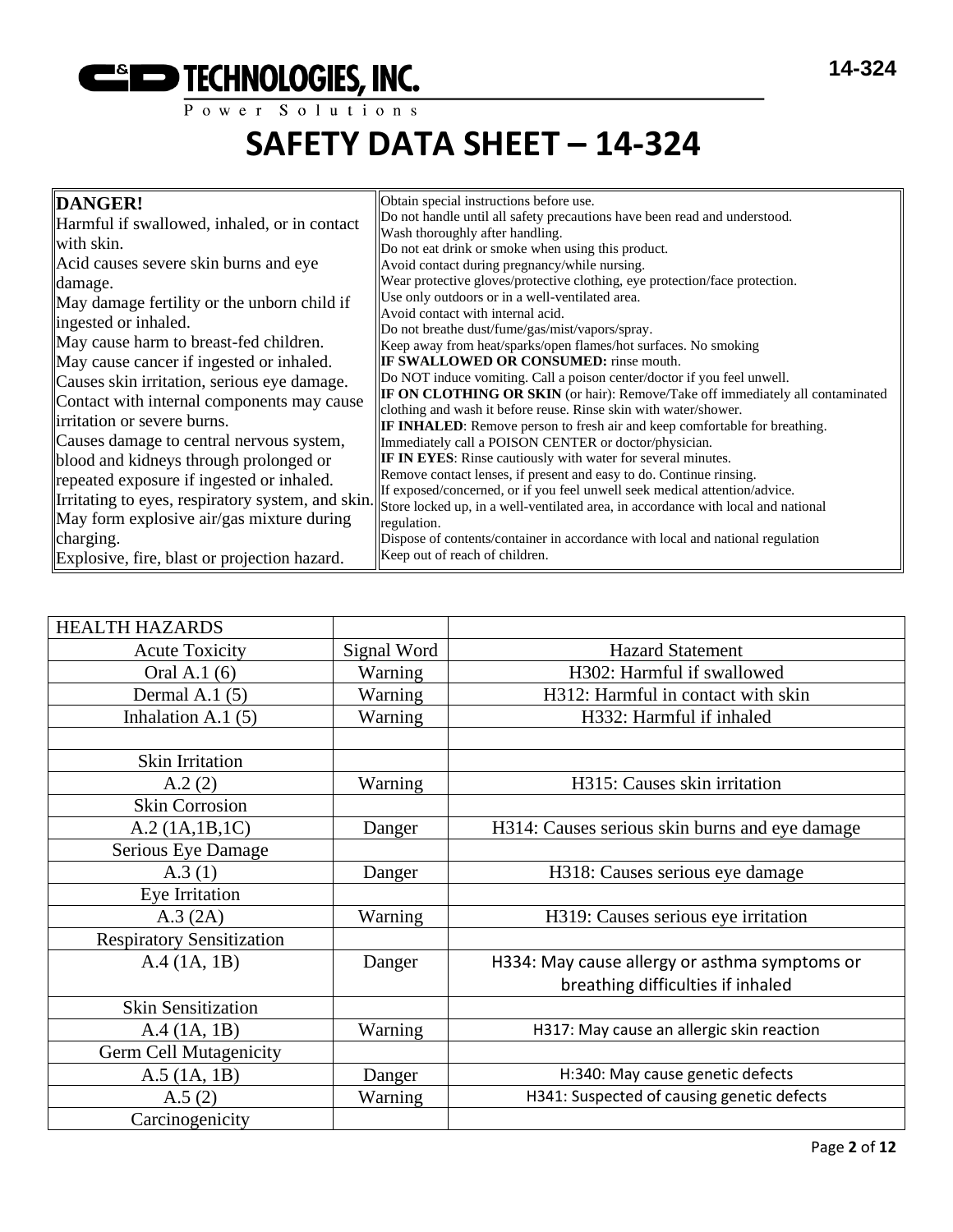

**14-324**

# **SAFETY DATA SHEET – 14-324**

| DANGER!<br>Harmful if swallowed, inhaled, or in contact                                                                  | Obtain special instructions before use.<br>Do not handle until all safety precautions have been read and understood.<br>Wash thoroughly after handling.                                                                                |
|--------------------------------------------------------------------------------------------------------------------------|----------------------------------------------------------------------------------------------------------------------------------------------------------------------------------------------------------------------------------------|
| with skin.<br>Acid causes severe skin burns and eye<br>damage.                                                           | Do not eat drink or smoke when using this product.<br>Avoid contact during pregnancy/while nursing.<br>Wear protective gloves/protective clothing, eye protection/face protection.                                                     |
| May damage fertility or the unborn child if<br>ingested or inhaled.                                                      | Use only outdoors or in a well-ventilated area.<br>Avoid contact with internal acid.<br>Do not breathe dust/fume/gas/mist/vapors/spray.                                                                                                |
| May cause harm to breast-fed children.<br>May cause cancer if ingested or inhaled.                                       | Keep away from heat/sparks/open flames/hot surfaces. No smoking<br><b>IF SWALLOWED OR CONSUMED:</b> rinse mouth.                                                                                                                       |
| Causes skin irritation, serious eye damage.<br>Contact with internal components may cause<br>irritation or severe burns. | Do NOT induce vomiting. Call a poison center/doctor if you feel unwell.<br>IF ON CLOTHING OR SKIN (or hair): Remove/Take off immediately all contaminated<br>clothing and wash it before reuse. Rinse skin with water/shower.          |
| Causes damage to central nervous system,<br>blood and kidneys through prolonged or                                       | <b>IF INHALED:</b> Remove person to fresh air and keep comfortable for breathing.<br>Immediately call a POISON CENTER or doctor/physician.<br><b>IF IN EYES:</b> Rinse cautiously with water for several minutes.                      |
| repeated exposure if ingested or inhaled.<br>Irritating to eyes, respiratory system, and skin.                           | Remove contact lenses, if present and easy to do. Continue rinsing.<br>If exposed/concerned, or if you feel unwell seek medical attention/advice.<br>Store locked up, in a well-ventilated area, in accordance with local and national |
| May form explosive air/gas mixture during<br>charging.                                                                   | regulation.<br>Dispose of contents/container in accordance with local and national regulation                                                                                                                                          |
| Explosive, fire, blast or projection hazard.                                                                             | Keep out of reach of children.                                                                                                                                                                                                         |

| <b>HEALTH HAZARDS</b>            |             |                                                |
|----------------------------------|-------------|------------------------------------------------|
| <b>Acute Toxicity</b>            | Signal Word | <b>Hazard Statement</b>                        |
| Oral A.1 (6)                     | Warning     | H302: Harmful if swallowed                     |
| Dermal A.1 $(5)$                 | Warning     | H312: Harmful in contact with skin             |
| Inhalation A.1 $(5)$             | Warning     | H332: Harmful if inhaled                       |
|                                  |             |                                                |
| Skin Irritation                  |             |                                                |
| A.2(2)                           | Warning     | H315: Causes skin irritation                   |
| <b>Skin Corrosion</b>            |             |                                                |
| A.2 (1A.1B.1C)                   | Danger      | H314: Causes serious skin burns and eye damage |
| Serious Eye Damage               |             |                                                |
| A.3(1)                           | Danger      | H318: Causes serious eye damage                |
| Eye Irritation                   |             |                                                |
| A.3 (2A)                         | Warning     | H319: Causes serious eye irritation            |
| <b>Respiratory Sensitization</b> |             |                                                |
| A.4(1A, 1B)                      | Danger      | H334: May cause allergy or asthma symptoms or  |
|                                  |             | breathing difficulties if inhaled              |
| <b>Skin Sensitization</b>        |             |                                                |
| A.4 (1A, 1B)                     | Warning     | H317: May cause an allergic skin reaction      |
| <b>Germ Cell Mutagenicity</b>    |             |                                                |
| $A.5$ (1A, 1B)                   | Danger      | H:340: May cause genetic defects               |
| A.5(2)                           | Warning     | H341: Suspected of causing genetic defects     |
| Carcinogenicity                  |             |                                                |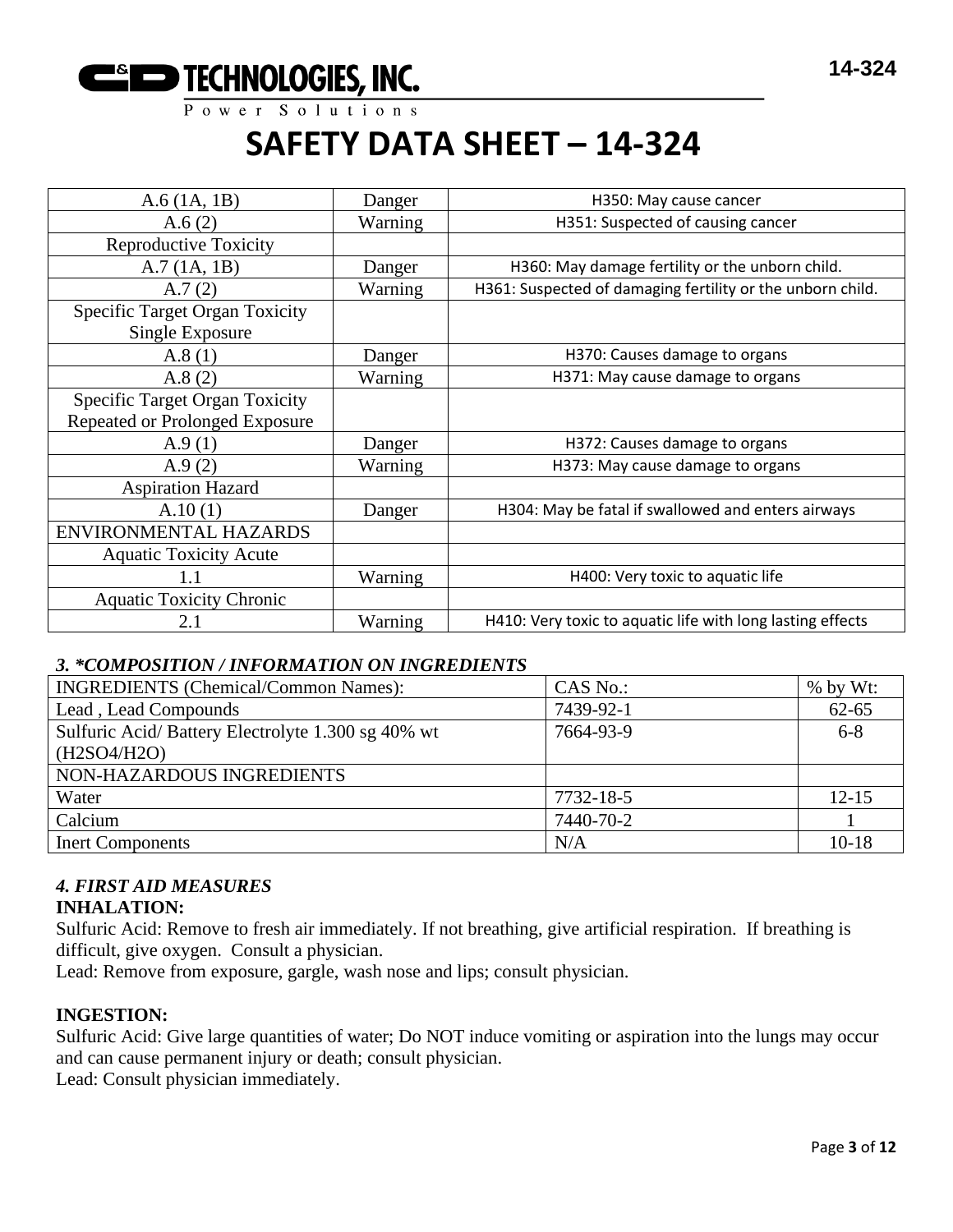

| $A.6$ (1A, 1B)                                           | Danger  | H350: May cause cancer                                     |
|----------------------------------------------------------|---------|------------------------------------------------------------|
| A.6(2)                                                   | Warning | H351: Suspected of causing cancer                          |
| <b>Reproductive Toxicity</b>                             |         |                                                            |
| A.7(1A, 1B)                                              | Danger  | H360: May damage fertility or the unborn child.            |
| A.7(2)                                                   | Warning | H361: Suspected of damaging fertility or the unborn child. |
| <b>Specific Target Organ Toxicity</b><br>Single Exposure |         |                                                            |
| A.8(1)                                                   | Danger  | H370: Causes damage to organs                              |
| A.8(2)                                                   | Warning | H371: May cause damage to organs                           |
| <b>Specific Target Organ Toxicity</b>                    |         |                                                            |
| Repeated or Prolonged Exposure                           |         |                                                            |
| A.9(1)                                                   | Danger  | H372: Causes damage to organs                              |
| A.9 $(2)$                                                | Warning | H373: May cause damage to organs                           |
| <b>Aspiration Hazard</b>                                 |         |                                                            |
| A.10(1)                                                  | Danger  | H304: May be fatal if swallowed and enters airways         |
| ENVIRONMENTAL HAZARDS                                    |         |                                                            |
| <b>Aquatic Toxicity Acute</b>                            |         |                                                            |
| 1.1                                                      | Warning | H400: Very toxic to aquatic life                           |
| <b>Aquatic Toxicity Chronic</b>                          |         |                                                            |
| 2.1                                                      | Warning | H410: Very toxic to aquatic life with long lasting effects |

## *3. \*COMPOSITION / INFORMATION ON INGREDIENTS*

| <b>INGREDIENTS</b> (Chemical/Common Names):       | CAS No.:  | % by Wt:  |
|---------------------------------------------------|-----------|-----------|
| Lead, Lead Compounds                              | 7439-92-1 | $62 - 65$ |
| Sulfuric Acid/Battery Electrolyte 1.300 sg 40% wt | 7664-93-9 | $6 - 8$   |
| (H2SO4/H2O)                                       |           |           |
| NON-HAZARDOUS INGREDIENTS                         |           |           |
| Water                                             | 7732-18-5 | $12 - 15$ |
| Calcium                                           | 7440-70-2 |           |
| <b>Inert Components</b>                           | N/A       | $10-18$   |

#### *4. FIRST AID MEASURES* **INHALATION:**

Sulfuric Acid: Remove to fresh air immediately. If not breathing, give artificial respiration. If breathing is difficult, give oxygen. Consult a physician.

Lead: Remove from exposure, gargle, wash nose and lips; consult physician.

## **INGESTION:**

Sulfuric Acid: Give large quantities of water; Do NOT induce vomiting or aspiration into the lungs may occur and can cause permanent injury or death; consult physician.

Lead: Consult physician immediately.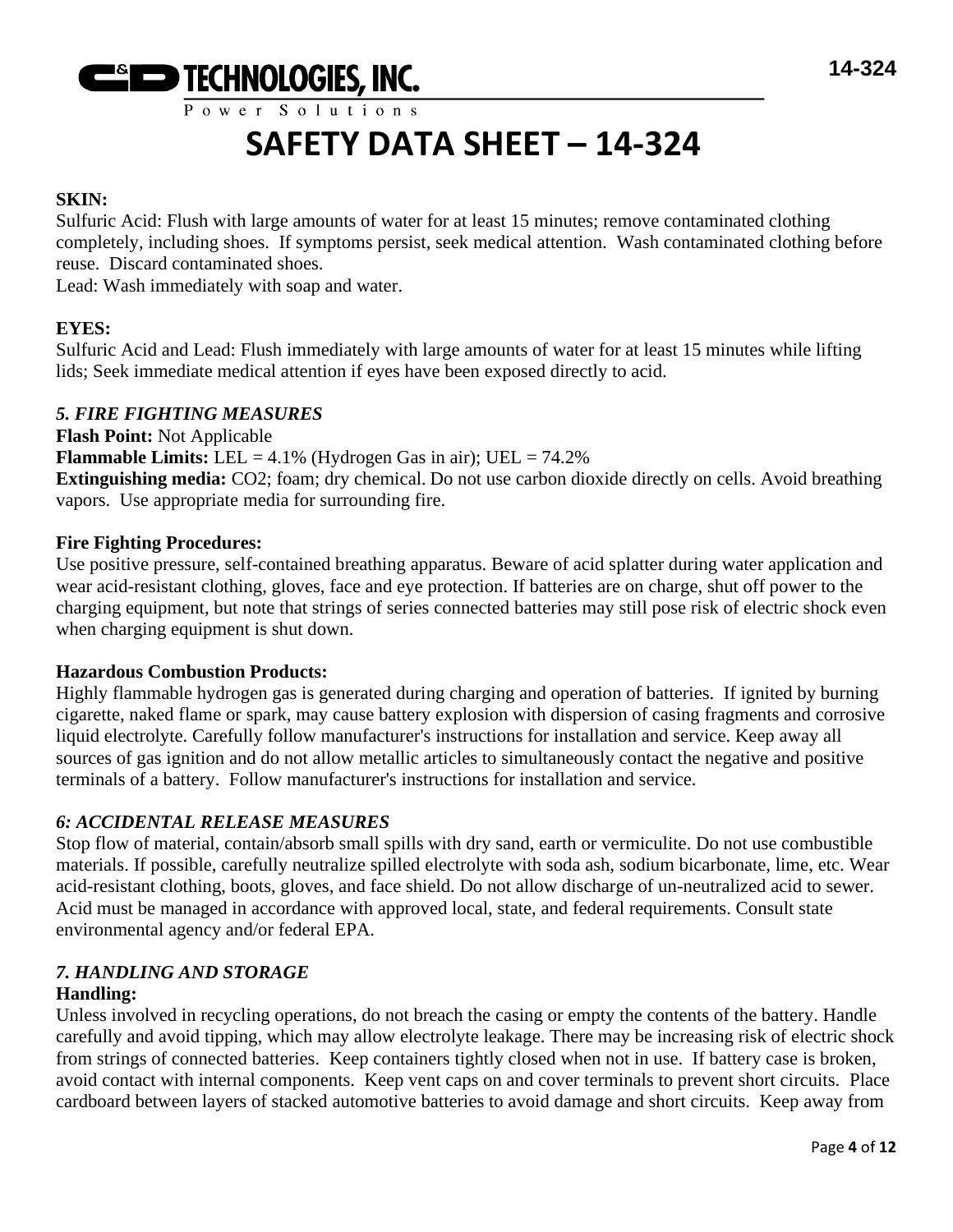

# **SAFETY DATA SHEET – 14-324**

# **SKIN:**

Sulfuric Acid: Flush with large amounts of water for at least 15 minutes; remove contaminated clothing completely, including shoes. If symptoms persist, seek medical attention. Wash contaminated clothing before reuse. Discard contaminated shoes.

Lead: Wash immediately with soap and water.

# **EYES:**

Sulfuric Acid and Lead: Flush immediately with large amounts of water for at least 15 minutes while lifting lids; Seek immediate medical attention if eyes have been exposed directly to acid.

## *5. FIRE FIGHTING MEASURES*

**Flash Point:** Not Applicable **Flammable Limits:** LEL =  $4.1\%$  (Hydrogen Gas in air); UEL =  $74.2\%$ **Extinguishing media:** CO2; foam; dry chemical. Do not use carbon dioxide directly on cells. Avoid breathing vapors. Use appropriate media for surrounding fire.

## **Fire Fighting Procedures:**

Use positive pressure, self-contained breathing apparatus. Beware of acid splatter during water application and wear acid-resistant clothing, gloves, face and eye protection. If batteries are on charge, shut off power to the charging equipment, but note that strings of series connected batteries may still pose risk of electric shock even when charging equipment is shut down.

## **Hazardous Combustion Products:**

Highly flammable hydrogen gas is generated during charging and operation of batteries. If ignited by burning cigarette, naked flame or spark, may cause battery explosion with dispersion of casing fragments and corrosive liquid electrolyte. Carefully follow manufacturer's instructions for installation and service. Keep away all sources of gas ignition and do not allow metallic articles to simultaneously contact the negative and positive terminals of a battery. Follow manufacturer's instructions for installation and service.

# *6: ACCIDENTAL RELEASE MEASURES*

Stop flow of material, contain/absorb small spills with dry sand, earth or vermiculite. Do not use combustible materials. If possible, carefully neutralize spilled electrolyte with soda ash, sodium bicarbonate, lime, etc. Wear acid-resistant clothing, boots, gloves, and face shield. Do not allow discharge of un-neutralized acid to sewer. Acid must be managed in accordance with approved local, state, and federal requirements. Consult state environmental agency and/or federal EPA.

#### *7. HANDLING AND STORAGE* **Handling:**

Unless involved in recycling operations, do not breach the casing or empty the contents of the battery. Handle carefully and avoid tipping, which may allow electrolyte leakage. There may be increasing risk of electric shock from strings of connected batteries. Keep containers tightly closed when not in use. If battery case is broken, avoid contact with internal components. Keep vent caps on and cover terminals to prevent short circuits. Place cardboard between layers of stacked automotive batteries to avoid damage and short circuits. Keep away from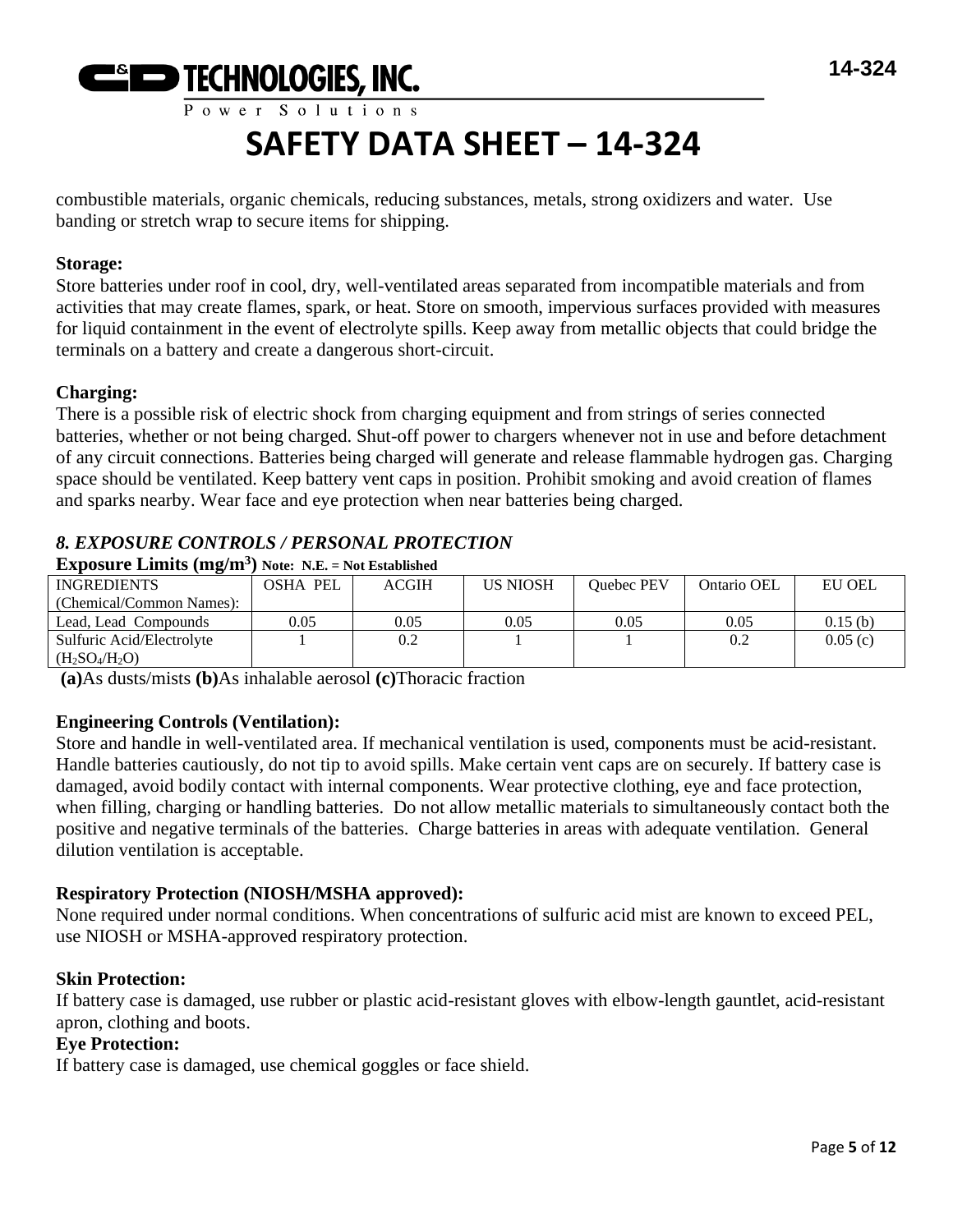

combustible materials, organic chemicals, reducing substances, metals, strong oxidizers and water. Use banding or stretch wrap to secure items for shipping.

#### **Storage:**

Store batteries under roof in cool, dry, well-ventilated areas separated from incompatible materials and from activities that may create flames, spark, or heat. Store on smooth, impervious surfaces provided with measures for liquid containment in the event of electrolyte spills. Keep away from metallic objects that could bridge the terminals on a battery and create a dangerous short-circuit.

### **Charging:**

There is a possible risk of electric shock from charging equipment and from strings of series connected batteries, whether or not being charged. Shut-off power to chargers whenever not in use and before detachment of any circuit connections. Batteries being charged will generate and release flammable hydrogen gas. Charging space should be ventilated. Keep battery vent caps in position. Prohibit smoking and avoid creation of flames and sparks nearby. Wear face and eye protection when near batteries being charged.

# *8. EXPOSURE CONTROLS / PERSONAL PROTECTION*

| $\overline{\phantom{a}}$<br><b>INGREDIENTS</b> | <b>OSHA PEL</b> | <b>ACGIH</b> | <b>US NIOSH</b> | <b>Ouebec PEV</b> | Ontario OEL | <b>EU OEL</b> |
|------------------------------------------------|-----------------|--------------|-----------------|-------------------|-------------|---------------|
| (Chemical/Common Names):                       |                 |              |                 |                   |             |               |
| Lead, Lead Compounds                           | 0.05            | 0.05         | 0.05            | 0.05              | 0.05        | 0.15(b)       |
| Sulfuric Acid/Electrolyte                      |                 | 0.2          |                 |                   | 0.2         | 0.05(c)       |
| $(H2SO4/H2O)$                                  |                 |              |                 |                   |             |               |

**Exposure Limits (mg/m<sup>3</sup> ) Note: N.E. = Not Established**

**(a)**As dusts/mists **(b)**As inhalable aerosol **(c)**Thoracic fraction

## **Engineering Controls (Ventilation):**

Store and handle in well-ventilated area. If mechanical ventilation is used, components must be acid-resistant. Handle batteries cautiously, do not tip to avoid spills. Make certain vent caps are on securely. If battery case is damaged, avoid bodily contact with internal components. Wear protective clothing, eye and face protection, when filling, charging or handling batteries. Do not allow metallic materials to simultaneously contact both the positive and negative terminals of the batteries. Charge batteries in areas with adequate ventilation. General dilution ventilation is acceptable.

#### **Respiratory Protection (NIOSH/MSHA approved):**

None required under normal conditions. When concentrations of sulfuric acid mist are known to exceed PEL, use NIOSH or MSHA-approved respiratory protection.

#### **Skin Protection:**

If battery case is damaged, use rubber or plastic acid-resistant gloves with elbow-length gauntlet, acid-resistant apron, clothing and boots.

#### **Eye Protection:**

If battery case is damaged, use chemical goggles or face shield.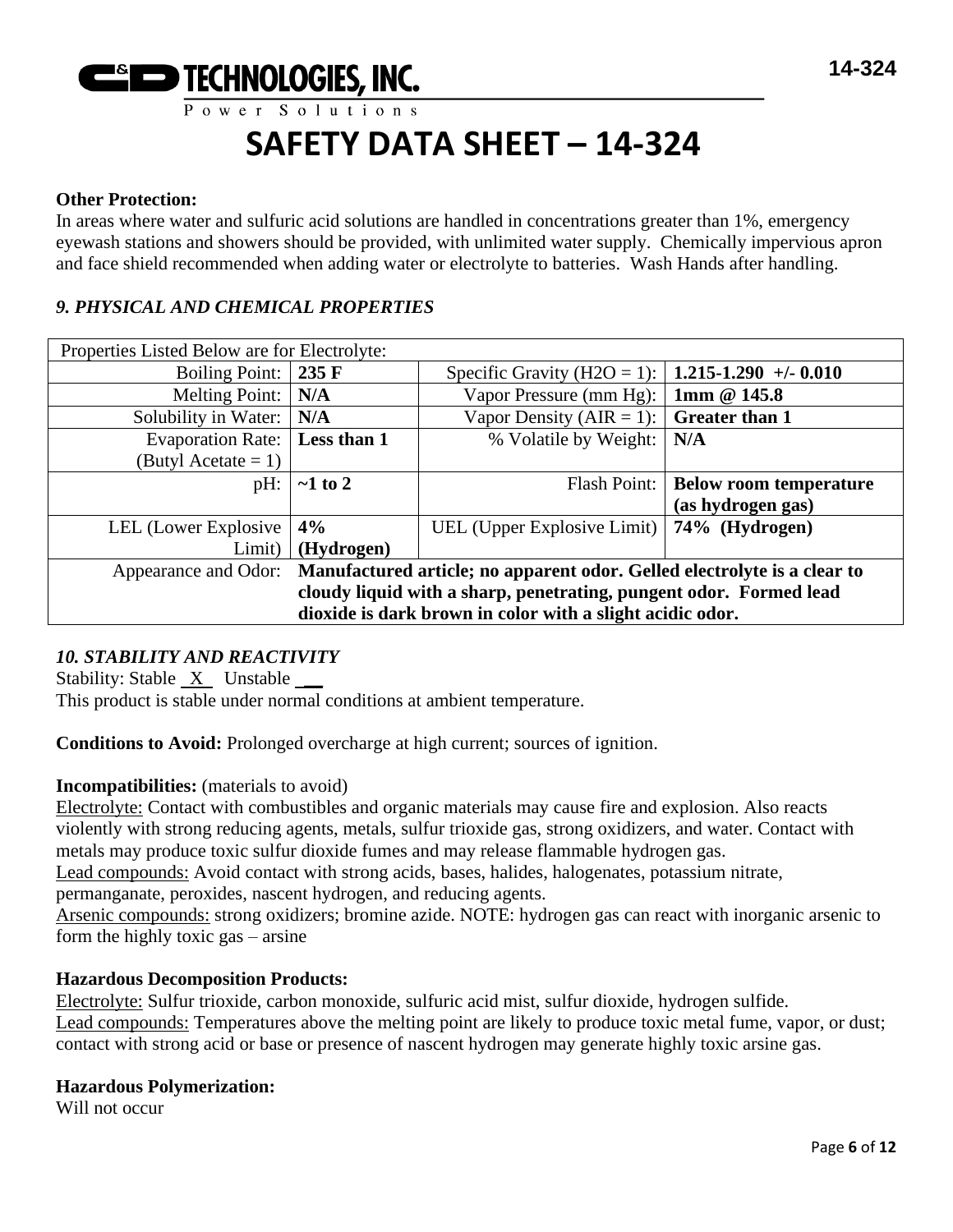

#### **Other Protection:**

In areas where water and sulfuric acid solutions are handled in concentrations greater than 1%, emergency eyewash stations and showers should be provided, with unlimited water supply. Chemically impervious apron and face shield recommended when adding water or electrolyte to batteries. Wash Hands after handling.

### *9. PHYSICAL AND CHEMICAL PROPERTIES*

| Properties Listed Below are for Electrolyte:                                                     |                 |                                                     |                               |
|--------------------------------------------------------------------------------------------------|-----------------|-----------------------------------------------------|-------------------------------|
| <b>Boiling Point:</b>                                                                            | $235 \text{ F}$ | Specific Gravity (H2O = 1):   1.215-1.290 +/- 0.010 |                               |
| <b>Melting Point:</b>                                                                            | N/A             | Vapor Pressure (mm Hg): $\vert$ 1mm @ 145.8         |                               |
| Solubility in Water:                                                                             | N/A             | Vapor Density (AIR = 1): $\vert$ Greater than 1     |                               |
| <b>Evaporation Rate:</b>                                                                         | Less than 1     | % Volatile by Weight:                               | N/A                           |
| (Butyl Acetate $= 1$ )                                                                           |                 |                                                     |                               |
| pH:                                                                                              | $\sim$ 1 to 2   | Flash Point:                                        | <b>Below room temperature</b> |
|                                                                                                  |                 |                                                     | (as hydrogen gas)             |
| LEL (Lower Explosive                                                                             | 4%              | UEL (Upper Explosive Limit)   74% (Hydrogen)        |                               |
| Limit)                                                                                           | (Hydrogen)      |                                                     |                               |
| Manufactured article; no apparent odor. Gelled electrolyte is a clear to<br>Appearance and Odor: |                 |                                                     |                               |
| cloudy liquid with a sharp, penetrating, pungent odor. Formed lead                               |                 |                                                     |                               |
| dioxide is dark brown in color with a slight acidic odor.                                        |                 |                                                     |                               |

## *10. STABILITY AND REACTIVITY*

Stability: Stable X Unstable \_\_

This product is stable under normal conditions at ambient temperature.

**Conditions to Avoid:** Prolonged overcharge at high current; sources of ignition.

#### **Incompatibilities:** (materials to avoid)

Electrolyte: Contact with combustibles and organic materials may cause fire and explosion. Also reacts violently with strong reducing agents, metals, sulfur trioxide gas, strong oxidizers, and water. Contact with metals may produce toxic sulfur dioxide fumes and may release flammable hydrogen gas.

Lead compounds: Avoid contact with strong acids, bases, halides, halogenates, potassium nitrate,

permanganate, peroxides, nascent hydrogen, and reducing agents.

Arsenic compounds: strong oxidizers; bromine azide. NOTE: hydrogen gas can react with inorganic arsenic to form the highly toxic gas – arsine

#### **Hazardous Decomposition Products:**

Electrolyte: Sulfur trioxide, carbon monoxide, sulfuric acid mist, sulfur dioxide, hydrogen sulfide. Lead compounds: Temperatures above the melting point are likely to produce toxic metal fume, vapor, or dust; contact with strong acid or base or presence of nascent hydrogen may generate highly toxic arsine gas.

#### **Hazardous Polymerization:**

Will not occur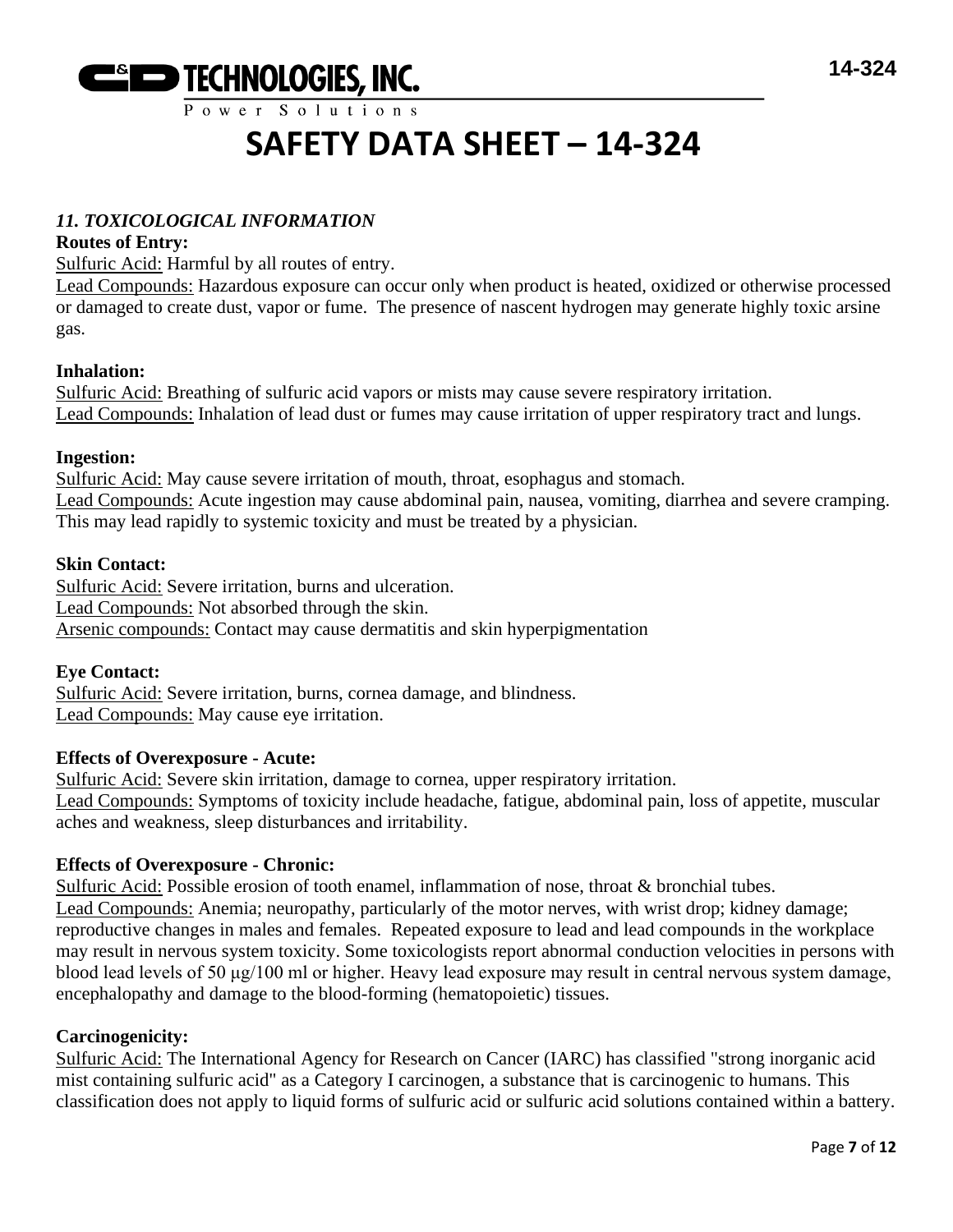

# **SAFETY DATA SHEET – 14-324**

## *11. TOXICOLOGICAL INFORMATION*

### **Routes of Entry:**

Sulfuric Acid: Harmful by all routes of entry.

Lead Compounds: Hazardous exposure can occur only when product is heated, oxidized or otherwise processed or damaged to create dust, vapor or fume. The presence of nascent hydrogen may generate highly toxic arsine gas.

### **Inhalation:**

Sulfuric Acid: Breathing of sulfuric acid vapors or mists may cause severe respiratory irritation. Lead Compounds: Inhalation of lead dust or fumes may cause irritation of upper respiratory tract and lungs.

#### **Ingestion:**

Sulfuric Acid: May cause severe irritation of mouth, throat, esophagus and stomach. Lead Compounds: Acute ingestion may cause abdominal pain, nausea, vomiting, diarrhea and severe cramping. This may lead rapidly to systemic toxicity and must be treated by a physician.

### **Skin Contact:**

Sulfuric Acid: Severe irritation, burns and ulceration. Lead Compounds: Not absorbed through the skin. Arsenic compounds: Contact may cause dermatitis and skin hyperpigmentation

## **Eye Contact:**

Sulfuric Acid: Severe irritation, burns, cornea damage, and blindness. Lead Compounds: May cause eye irritation.

#### **Effects of Overexposure - Acute:**

Sulfuric Acid: Severe skin irritation, damage to cornea, upper respiratory irritation. Lead Compounds: Symptoms of toxicity include headache, fatigue, abdominal pain, loss of appetite, muscular aches and weakness, sleep disturbances and irritability.

#### **Effects of Overexposure - Chronic:**

Sulfuric Acid: Possible erosion of tooth enamel, inflammation of nose, throat & bronchial tubes. Lead Compounds: Anemia; neuropathy, particularly of the motor nerves, with wrist drop; kidney damage; reproductive changes in males and females. Repeated exposure to lead and lead compounds in the workplace may result in nervous system toxicity. Some toxicologists report abnormal conduction velocities in persons with blood lead levels of 50 μg/100 ml or higher. Heavy lead exposure may result in central nervous system damage, encephalopathy and damage to the blood-forming (hematopoietic) tissues.

#### **Carcinogenicity:**

Sulfuric Acid: The International Agency for Research on Cancer (IARC) has classified "strong inorganic acid mist containing sulfuric acid" as a Category I carcinogen, a substance that is carcinogenic to humans. This classification does not apply to liquid forms of sulfuric acid or sulfuric acid solutions contained within a battery.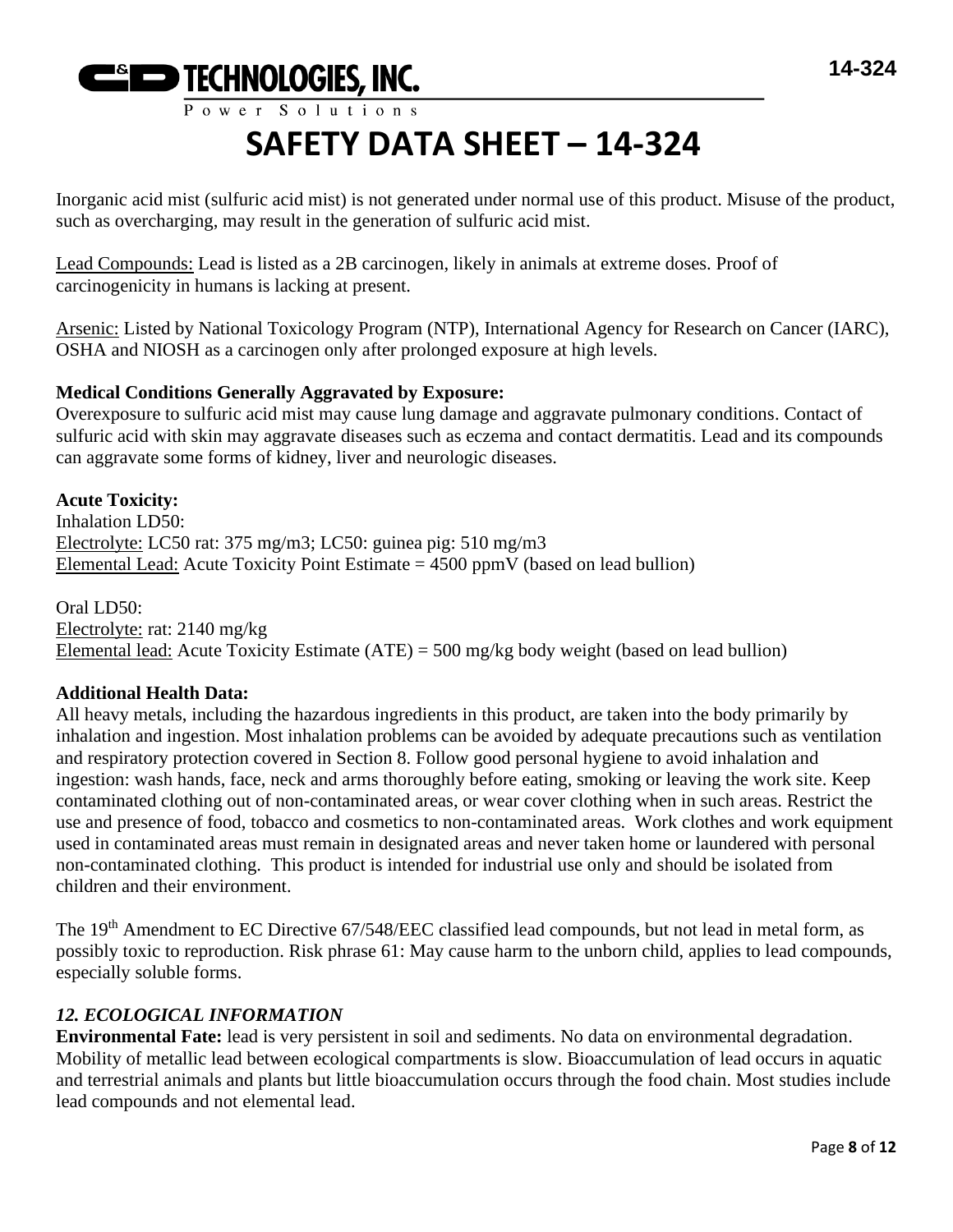

Inorganic acid mist (sulfuric acid mist) is not generated under normal use of this product. Misuse of the product, such as overcharging, may result in the generation of sulfuric acid mist.

Lead Compounds: Lead is listed as a 2B carcinogen, likely in animals at extreme doses. Proof of carcinogenicity in humans is lacking at present.

Arsenic: Listed by National Toxicology Program (NTP), International Agency for Research on Cancer (IARC), OSHA and NIOSH as a carcinogen only after prolonged exposure at high levels.

## **Medical Conditions Generally Aggravated by Exposure:**

Overexposure to sulfuric acid mist may cause lung damage and aggravate pulmonary conditions. Contact of sulfuric acid with skin may aggravate diseases such as eczema and contact dermatitis. Lead and its compounds can aggravate some forms of kidney, liver and neurologic diseases.

**Acute Toxicity:** Inhalation LD50: Electrolyte: LC50 rat: 375 mg/m3; LC50: guinea pig: 510 mg/m3 Elemental Lead: Acute Toxicity Point Estimate  $= 4500$  ppmV (based on lead bullion)

Oral LD50: Electrolyte: rat: 2140 mg/kg Elemental lead: Acute Toxicity Estimate (ATE) = 500 mg/kg body weight (based on lead bullion)

## **Additional Health Data:**

All heavy metals, including the hazardous ingredients in this product, are taken into the body primarily by inhalation and ingestion. Most inhalation problems can be avoided by adequate precautions such as ventilation and respiratory protection covered in Section 8. Follow good personal hygiene to avoid inhalation and ingestion: wash hands, face, neck and arms thoroughly before eating, smoking or leaving the work site. Keep contaminated clothing out of non-contaminated areas, or wear cover clothing when in such areas. Restrict the use and presence of food, tobacco and cosmetics to non-contaminated areas. Work clothes and work equipment used in contaminated areas must remain in designated areas and never taken home or laundered with personal non-contaminated clothing. This product is intended for industrial use only and should be isolated from children and their environment.

The 19<sup>th</sup> Amendment to EC Directive 67/548/EEC classified lead compounds, but not lead in metal form, as possibly toxic to reproduction. Risk phrase 61: May cause harm to the unborn child, applies to lead compounds, especially soluble forms.

# *12. ECOLOGICAL INFORMATION*

**Environmental Fate:** lead is very persistent in soil and sediments. No data on environmental degradation. Mobility of metallic lead between ecological compartments is slow. Bioaccumulation of lead occurs in aquatic and terrestrial animals and plants but little bioaccumulation occurs through the food chain. Most studies include lead compounds and not elemental lead.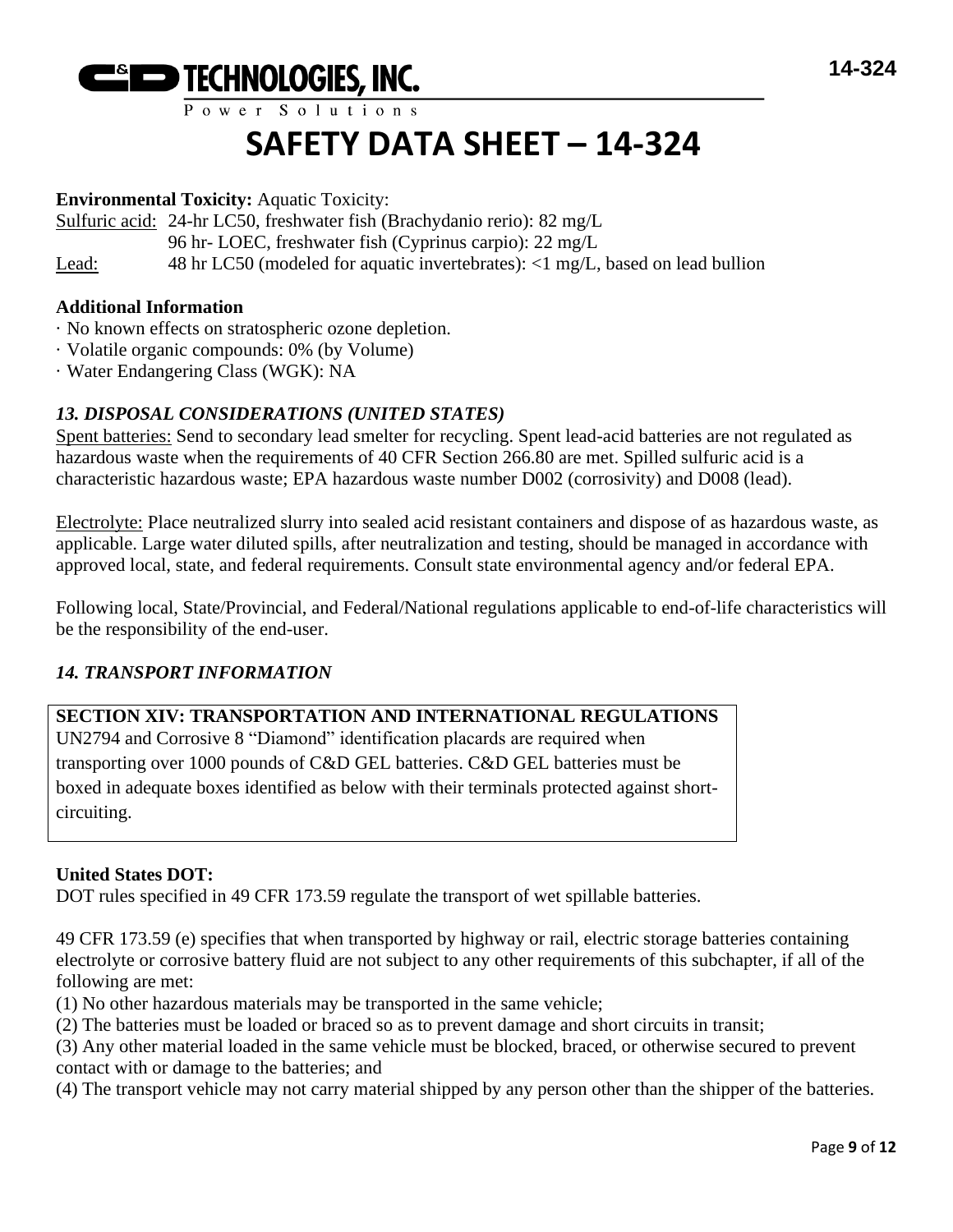

# **SAFETY DATA SHEET – 14-324**

## **Environmental Toxicity:** Aquatic Toxicity:

Sulfuric acid: 24-hr LC50, freshwater fish (Brachydanio rerio): 82 mg/L

96 hr- LOEC, freshwater fish (Cyprinus carpio): 22 mg/L

Lead: 48 hr LC50 (modeled for aquatic invertebrates): <1 mg/L, based on lead bullion

## **Additional Information**

- · No known effects on stratospheric ozone depletion.
- · Volatile organic compounds: 0% (by Volume)
- · Water Endangering Class (WGK): NA

## *13. DISPOSAL CONSIDERATIONS (UNITED STATES)*

Spent batteries: Send to secondary lead smelter for recycling. Spent lead-acid batteries are not regulated as hazardous waste when the requirements of 40 CFR Section 266.80 are met. Spilled sulfuric acid is a characteristic hazardous waste; EPA hazardous waste number D002 (corrosivity) and D008 (lead).

Electrolyte: Place neutralized slurry into sealed acid resistant containers and dispose of as hazardous waste, as applicable. Large water diluted spills, after neutralization and testing, should be managed in accordance with approved local, state, and federal requirements. Consult state environmental agency and/or federal EPA.

Following local, State/Provincial, and Federal/National regulations applicable to end-of-life characteristics will be the responsibility of the end-user.

# *14. TRANSPORT INFORMATION*

## **SECTION XIV: TRANSPORTATION AND INTERNATIONAL REGULATIONS**

UN2794 and Corrosive 8 "Diamond" identification placards are required when transporting over 1000 pounds of C&D GEL batteries. C&D GEL batteries must be boxed in adequate boxes identified as below with their terminals protected against shortcircuiting.

## **United States DOT:**

DOT rules specified in 49 CFR 173.59 regulate the transport of wet spillable batteries.

49 CFR 173.59 (e) specifies that when transported by highway or rail, electric storage batteries containing electrolyte or corrosive battery fluid are not subject to any other requirements of this subchapter, if all of the following are met:

(1) No other hazardous materials may be transported in the same vehicle;

(2) The batteries must be loaded or braced so as to prevent damage and short circuits in transit;

(3) Any other material loaded in the same vehicle must be blocked, braced, or otherwise secured to prevent contact with or damage to the batteries; and

(4) The transport vehicle may not carry material shipped by any person other than the shipper of the batteries.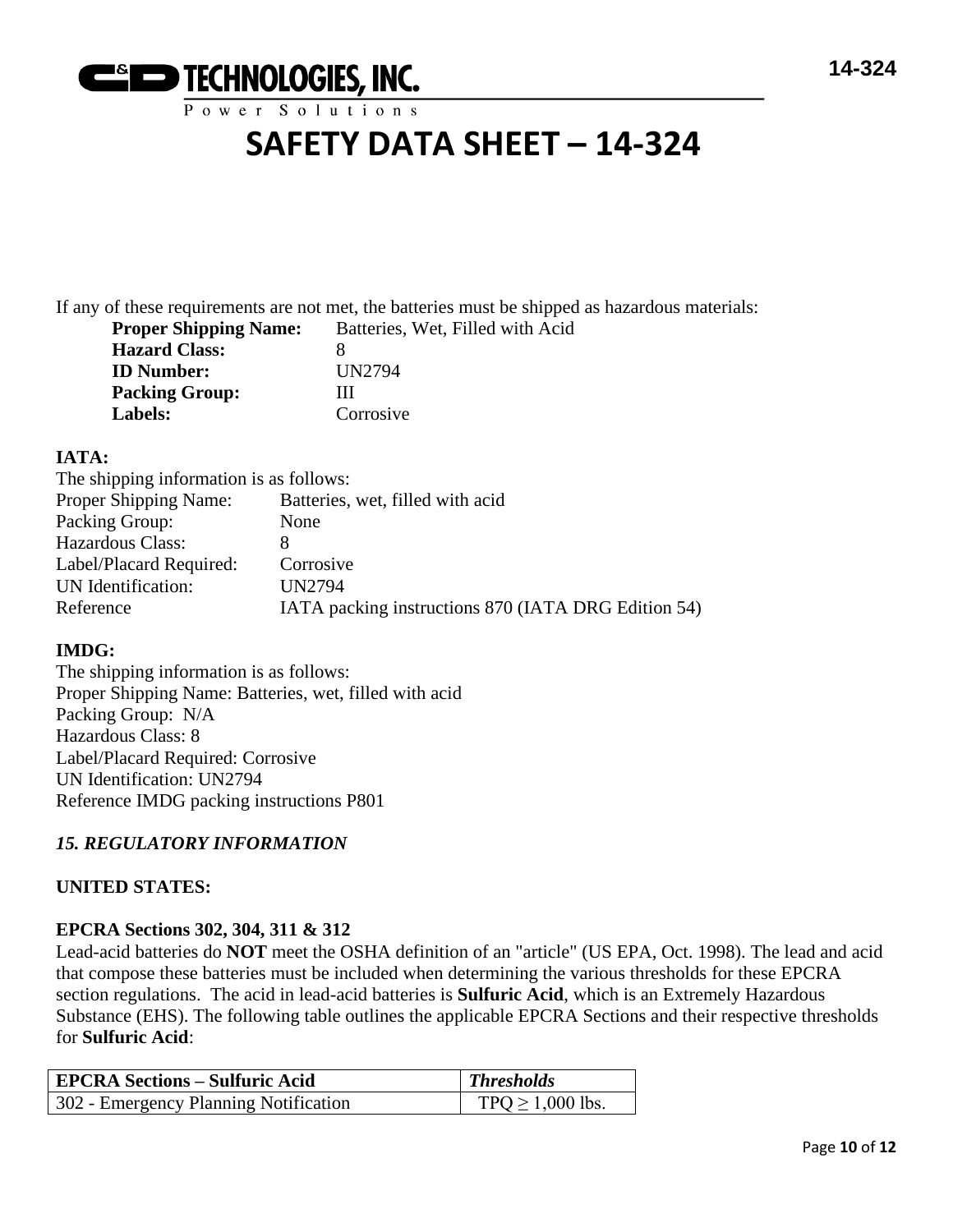

# **SAFETY DATA SHEET – 14-324**

If any of these requirements are not met, the batteries must be shipped as hazardous materials: **Property** Shipping Shipping Shipping Shipping Shipping Shipping Shipping Shipping Shipping Shipping Shipping Shipping Shipping Shipping Shipping Shipping Shipping Shipping Shipping Shipping Shipping Shipping Shipping Ship

| <b>Proper Shipping Name:</b> | Batteries, Wet, Fi |
|------------------------------|--------------------|
| <b>Hazard Class:</b>         | x                  |
| <b>ID Number:</b>            | UN2794             |
| <b>Packing Group:</b>        | Ш                  |
| <b>Labels:</b>               | Corrosive          |

## **IATA:**

| The shipping information is as follows:             |
|-----------------------------------------------------|
| Batteries, wet, filled with acid                    |
| None                                                |
|                                                     |
| Corrosive                                           |
| <b>UN2794</b>                                       |
| IATA packing instructions 870 (IATA DRG Edition 54) |
|                                                     |

# **IMDG:**

The shipping information is as follows: Proper Shipping Name: Batteries, wet, filled with acid Packing Group: N/A Hazardous Class: 8 Label/Placard Required: Corrosive UN Identification: UN2794 Reference IMDG packing instructions P801

# *15. REGULATORY INFORMATION*

## **UNITED STATES:**

## **EPCRA Sections 302, 304, 311 & 312**

Lead-acid batteries do **NOT** meet the OSHA definition of an "article" (US EPA, Oct. 1998). The lead and acid that compose these batteries must be included when determining the various thresholds for these EPCRA section regulations. The acid in lead-acid batteries is **Sulfuric Acid**, which is an Extremely Hazardous Substance (EHS). The following table outlines the applicable EPCRA Sections and their respective thresholds for **Sulfuric Acid**:

| <b>EPCRA Sections – Sulfuric Acid</b> | <b>Thresholds</b>    |
|---------------------------------------|----------------------|
| 302 - Emergency Planning Notification | $TPQ \ge 1,000$ lbs. |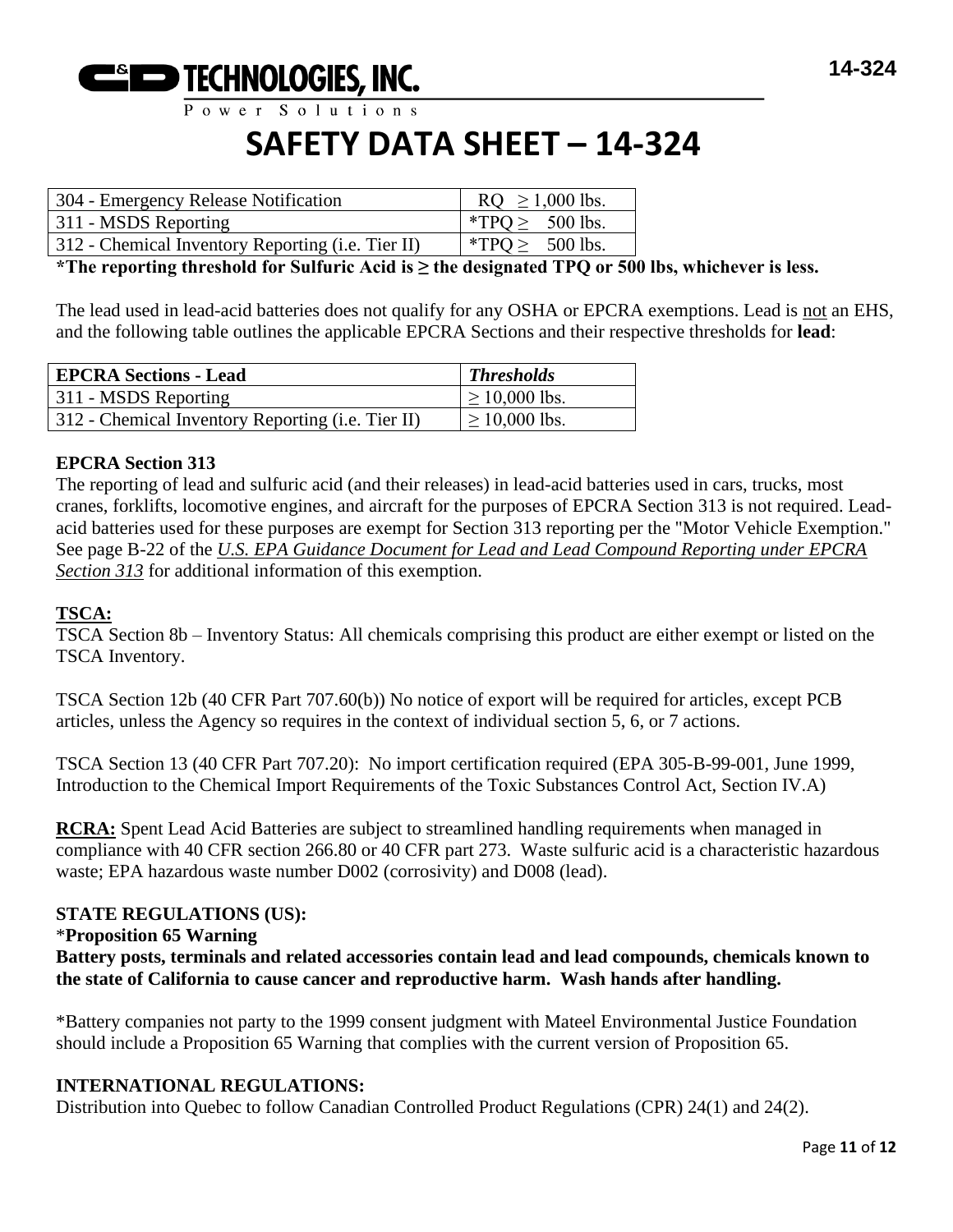

# **SAFETY DATA SHEET – 14-324**

| 304 - Emergency Release Notification              | $RQ \ge 1,000$ lbs.  |
|---------------------------------------------------|----------------------|
| 311 - MSDS Reporting                              | *TPQ $\geq$ 500 lbs. |
| 312 - Chemical Inventory Reporting (i.e. Tier II) | *TPQ $\geq$ 500 lbs. |

**\*The reporting threshold for Sulfuric Acid is ≥ the designated TPQ or 500 lbs, whichever is less.**

The lead used in lead-acid batteries does not qualify for any OSHA or EPCRA exemptions. Lead is not an EHS, and the following table outlines the applicable EPCRA Sections and their respective thresholds for **lead**:

| <b>EPCRA Sections - Lead</b>                      | <b>Thresholds</b>  |
|---------------------------------------------------|--------------------|
| 311 - MSDS Reporting                              | $\geq 10,000$ lbs. |
| 312 - Chemical Inventory Reporting (i.e. Tier II) | $\geq 10,000$ lbs. |

### **EPCRA Section 313**

The reporting of lead and sulfuric acid (and their releases) in lead-acid batteries used in cars, trucks, most cranes, forklifts, locomotive engines, and aircraft for the purposes of EPCRA Section 313 is not required. Leadacid batteries used for these purposes are exempt for Section 313 reporting per the "Motor Vehicle Exemption." See page B-22 of the *U.S. EPA Guidance Document for Lead and Lead Compound Reporting under EPCRA Section 313* for additional information of this exemption.

#### **TSCA:**

TSCA Section 8b – Inventory Status: All chemicals comprising this product are either exempt or listed on the TSCA Inventory.

TSCA Section 12b (40 CFR Part 707.60(b)) No notice of export will be required for articles, except PCB articles, unless the Agency so requires in the context of individual section 5, 6, or 7 actions.

TSCA Section 13 (40 CFR Part 707.20): No import certification required (EPA 305-B-99-001, June 1999, Introduction to the Chemical Import Requirements of the Toxic Substances Control Act, Section IV.A)

**RCRA:** Spent Lead Acid Batteries are subject to streamlined handling requirements when managed in compliance with 40 CFR section 266.80 or 40 CFR part 273. Waste sulfuric acid is a characteristic hazardous waste; EPA hazardous waste number D002 (corrosivity) and D008 (lead).

#### **STATE REGULATIONS (US):**

#### \***Proposition 65 Warning**

**Battery posts, terminals and related accessories contain lead and lead compounds, chemicals known to the state of California to cause cancer and reproductive harm. Wash hands after handling.**

\*Battery companies not party to the 1999 consent judgment with Mateel Environmental Justice Foundation should include a Proposition 65 Warning that complies with the current version of Proposition 65.

#### **INTERNATIONAL REGULATIONS:**

Distribution into Quebec to follow Canadian Controlled Product Regulations (CPR) 24(1) and 24(2).